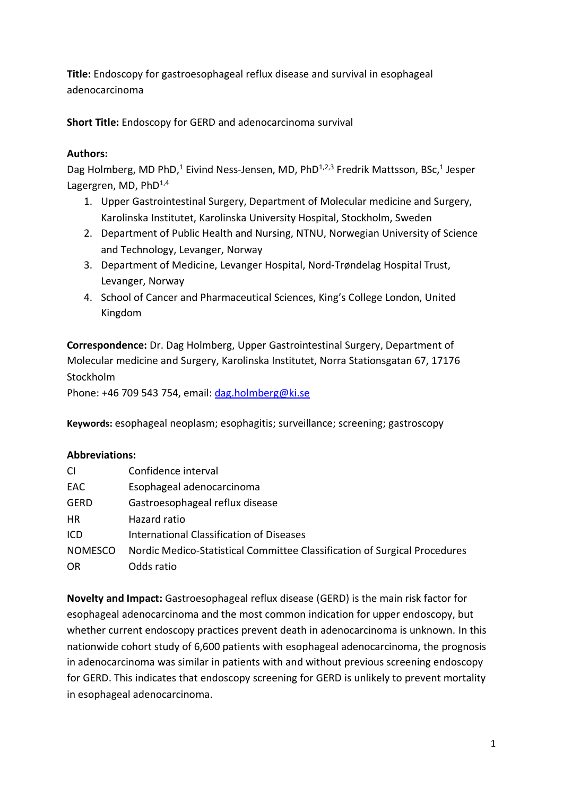**Title:** Endoscopy for gastroesophageal reflux disease and survival in esophageal adenocarcinoma

**Short Title:** Endoscopy for GERD and adenocarcinoma survival

# **Authors:**

Dag Holmberg, MD PhD,<sup>1</sup> Eivind Ness-Jensen, MD, PhD<sup>1,2,3</sup> Fredrik Mattsson, BSc,<sup>1</sup> Jesper Lagergren, MD,  $PhD^{1,4}$ 

- 1. Upper Gastrointestinal Surgery, Department of Molecular medicine and Surgery, Karolinska Institutet, Karolinska University Hospital, Stockholm, Sweden
- 2. Department of Public Health and Nursing, NTNU, Norwegian University of Science and Technology, Levanger, Norway
- 3. Department of Medicine, Levanger Hospital, Nord-Trøndelag Hospital Trust, Levanger, Norway
- 4. School of Cancer and Pharmaceutical Sciences, King's College London, United Kingdom

**Correspondence:** Dr. Dag Holmberg, Upper Gastrointestinal Surgery, Department of Molecular medicine and Surgery, Karolinska Institutet, Norra Stationsgatan 67, 17176 **Stockholm** 

Phone: +46 709 543 754, email: [dag.holmberg@ki.se](mailto:dag.holmberg@ki.se)

**Keywords:** esophageal neoplasm; esophagitis; surveillance; screening; gastroscopy

## **Abbreviations:**

| <b>CI</b>      | Confidence interval                                                       |
|----------------|---------------------------------------------------------------------------|
| EAC.           | Esophageal adenocarcinoma                                                 |
| <b>GERD</b>    | Gastroesophageal reflux disease                                           |
| <b>HR</b>      | Hazard ratio                                                              |
| ICD            | <b>International Classification of Diseases</b>                           |
| <b>NOMESCO</b> | Nordic Medico-Statistical Committee Classification of Surgical Procedures |
| <b>OR</b>      | Odds ratio                                                                |

**Novelty and Impact:** Gastroesophageal reflux disease (GERD) is the main risk factor for esophageal adenocarcinoma and the most common indication for upper endoscopy, but whether current endoscopy practices prevent death in adenocarcinoma is unknown. In this nationwide cohort study of 6,600 patients with esophageal adenocarcinoma, the prognosis in adenocarcinoma was similar in patients with and without previous screening endoscopy for GERD. This indicates that endoscopy screening for GERD is unlikely to prevent mortality in esophageal adenocarcinoma.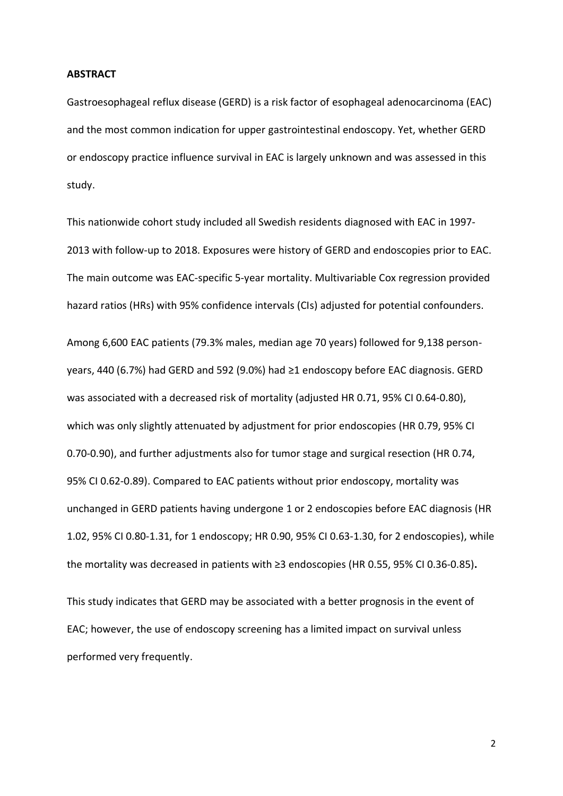#### **ABSTRACT**

Gastroesophageal reflux disease (GERD) is a risk factor of esophageal adenocarcinoma (EAC) and the most common indication for upper gastrointestinal endoscopy. Yet, whether GERD or endoscopy practice influence survival in EAC is largely unknown and was assessed in this study.

This nationwide cohort study included all Swedish residents diagnosed with EAC in 1997- 2013 with follow-up to 2018. Exposures were history of GERD and endoscopies prior to EAC. The main outcome was EAC-specific 5-year mortality. Multivariable Cox regression provided hazard ratios (HRs) with 95% confidence intervals (CIs) adjusted for potential confounders. Among 6,600 EAC patients (79.3% males, median age 70 years) followed for 9,138 personyears, 440 (6.7%) had GERD and 592 (9.0%) had ≥1 endoscopy before EAC diagnosis. GERD was associated with a decreased risk of mortality (adjusted HR 0.71, 95% CI 0.64-0.80), which was only slightly attenuated by adjustment for prior endoscopies (HR 0.79, 95% CI 0.70-0.90), and further adjustments also for tumor stage and surgical resection (HR 0.74, 95% CI 0.62-0.89). Compared to EAC patients without prior endoscopy, mortality was unchanged in GERD patients having undergone 1 or 2 endoscopies before EAC diagnosis (HR 1.02, 95% CI 0.80-1.31, for 1 endoscopy; HR 0.90, 95% CI 0.63-1.30, for 2 endoscopies), while the mortality was decreased in patients with ≥3 endoscopies (HR 0.55, 95% CI 0.36-0.85)**.**

This study indicates that GERD may be associated with a better prognosis in the event of EAC; however, the use of endoscopy screening has a limited impact on survival unless performed very frequently.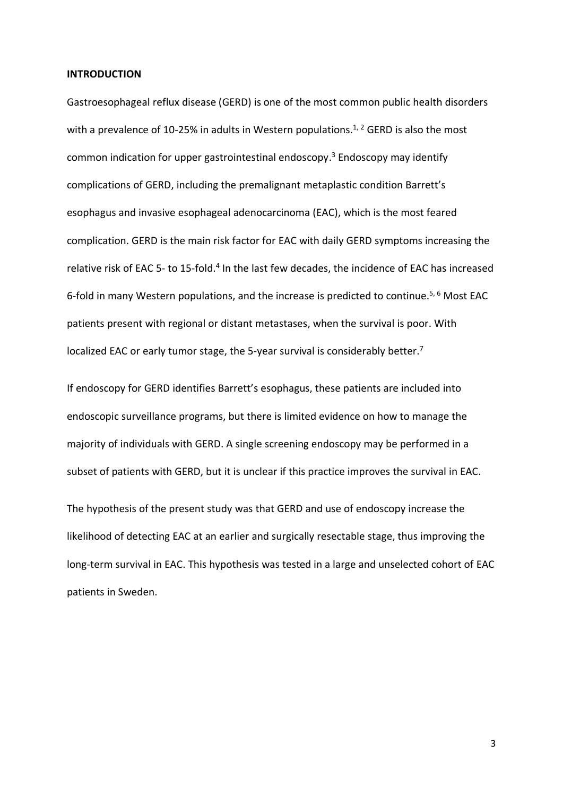#### **INTRODUCTION**

Gastroesophageal reflux disease (GERD) is one of the most common public health disorders with a prevalence of 10-25% in adults in Western populations.<sup>1, 2</sup> GERD is also the most common indication for upper gastrointestinal endoscopy. <sup>3</sup> Endoscopy may identify complications of GERD, including the premalignant metaplastic condition Barrett's esophagus and invasive esophageal adenocarcinoma (EAC), which is the most feared complication. GERD is the main risk factor for EAC with daily GERD symptoms increasing the relative risk of EAC 5- to 15-fold.<sup>4</sup> In the last few decades, the incidence of EAC has increased 6-fold in many Western populations, and the increase is predicted to continue. 5, 6 Most EAC patients present with regional or distant metastases, when the survival is poor. With localized EAC or early tumor stage, the 5-year survival is considerably better.<sup>7</sup>

If endoscopy for GERD identifies Barrett's esophagus, these patients are included into endoscopic surveillance programs, but there is limited evidence on how to manage the majority of individuals with GERD. A single screening endoscopy may be performed in a subset of patients with GERD, but it is unclear if this practice improves the survival in EAC.

The hypothesis of the present study was that GERD and use of endoscopy increase the likelihood of detecting EAC at an earlier and surgically resectable stage, thus improving the long-term survival in EAC. This hypothesis was tested in a large and unselected cohort of EAC patients in Sweden.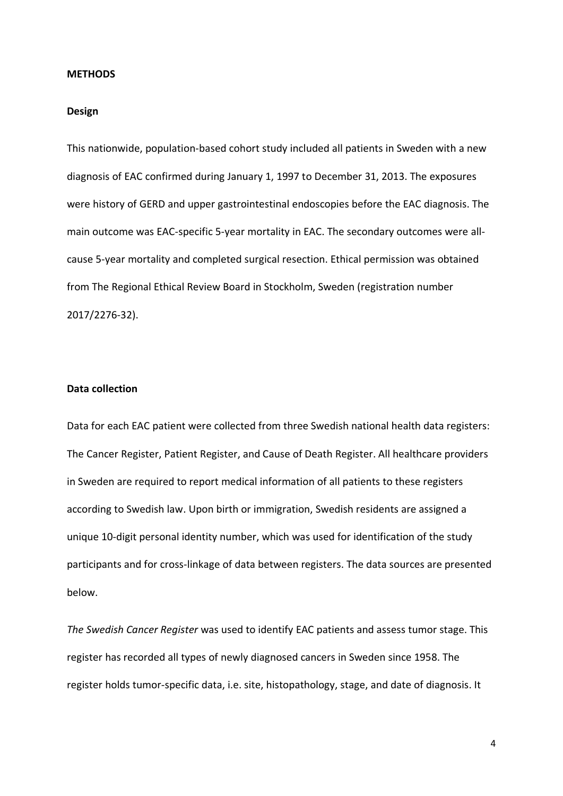#### **METHODS**

### **Design**

This nationwide, population-based cohort study included all patients in Sweden with a new diagnosis of EAC confirmed during January 1, 1997 to December 31, 2013. The exposures were history of GERD and upper gastrointestinal endoscopies before the EAC diagnosis. The main outcome was EAC-specific 5-year mortality in EAC. The secondary outcomes were allcause 5-year mortality and completed surgical resection. Ethical permission was obtained from The Regional Ethical Review Board in Stockholm, Sweden (registration number 2017/2276-32).

## **Data collection**

Data for each EAC patient were collected from three Swedish national health data registers: The Cancer Register, Patient Register, and Cause of Death Register. All healthcare providers in Sweden are required to report medical information of all patients to these registers according to Swedish law. Upon birth or immigration, Swedish residents are assigned a unique 10-digit personal identity number, which was used for identification of the study participants and for cross-linkage of data between registers. The data sources are presented below.

*The Swedish Cancer Register* was used to identify EAC patients and assess tumor stage. This register has recorded all types of newly diagnosed cancers in Sweden since 1958. The register holds tumor-specific data, i.e. site, histopathology, stage, and date of diagnosis. It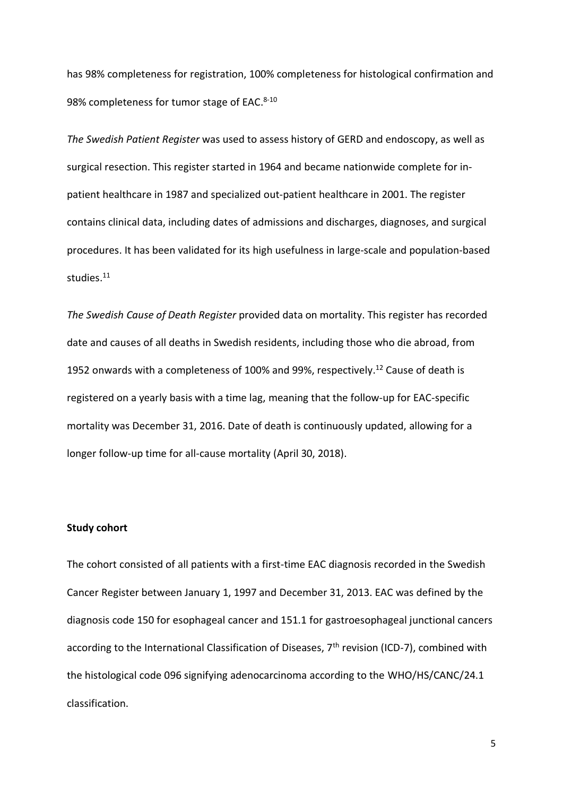has 98% completeness for registration, 100% completeness for histological confirmation and 98% completeness for tumor stage of EAC.<sup>8-10</sup>

*The Swedish Patient Register* was used to assess history of GERD and endoscopy, as well as surgical resection. This register started in 1964 and became nationwide complete for inpatient healthcare in 1987 and specialized out-patient healthcare in 2001. The register contains clinical data, including dates of admissions and discharges, diagnoses, and surgical procedures. It has been validated for its high usefulness in large-scale and population-based studies.<sup>11</sup>

*The Swedish Cause of Death Register* provided data on mortality. This register has recorded date and causes of all deaths in Swedish residents, including those who die abroad, from 1952 onwards with a completeness of 100% and 99%, respectively.<sup>12</sup> Cause of death is registered on a yearly basis with a time lag, meaning that the follow-up for EAC-specific mortality was December 31, 2016. Date of death is continuously updated, allowing for a longer follow-up time for all-cause mortality (April 30, 2018).

### **Study cohort**

The cohort consisted of all patients with a first-time EAC diagnosis recorded in the Swedish Cancer Register between January 1, 1997 and December 31, 2013. EAC was defined by the diagnosis code 150 for esophageal cancer and 151.1 for gastroesophageal junctional cancers according to the International Classification of Diseases, 7<sup>th</sup> revision (ICD-7), combined with the histological code 096 signifying adenocarcinoma according to the WHO/HS/CANC/24.1 classification.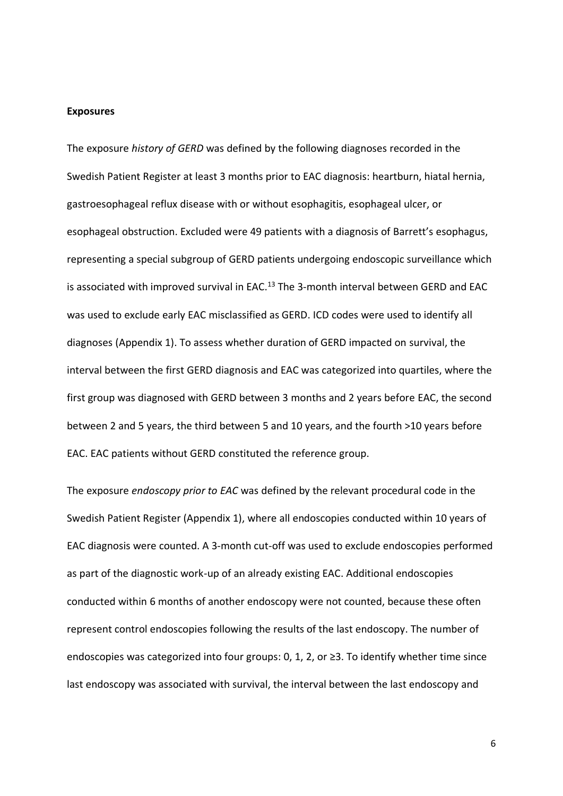#### **Exposures**

The exposure *history of GERD* was defined by the following diagnoses recorded in the Swedish Patient Register at least 3 months prior to EAC diagnosis: heartburn, hiatal hernia, gastroesophageal reflux disease with or without esophagitis, esophageal ulcer, or esophageal obstruction. Excluded were 49 patients with a diagnosis of Barrett's esophagus, representing a special subgroup of GERD patients undergoing endoscopic surveillance which is associated with improved survival in EAC.<sup>13</sup> The 3-month interval between GERD and EAC was used to exclude early EAC misclassified as GERD. ICD codes were used to identify all diagnoses (Appendix 1). To assess whether duration of GERD impacted on survival, the interval between the first GERD diagnosis and EAC was categorized into quartiles, where the first group was diagnosed with GERD between 3 months and 2 years before EAC, the second between 2 and 5 years, the third between 5 and 10 years, and the fourth >10 years before EAC. EAC patients without GERD constituted the reference group.

The exposure *endoscopy prior to EAC* was defined by the relevant procedural code in the Swedish Patient Register (Appendix 1), where all endoscopies conducted within 10 years of EAC diagnosis were counted. A 3-month cut-off was used to exclude endoscopies performed as part of the diagnostic work-up of an already existing EAC. Additional endoscopies conducted within 6 months of another endoscopy were not counted, because these often represent control endoscopies following the results of the last endoscopy. The number of endoscopies was categorized into four groups: 0, 1, 2, or ≥3. To identify whether time since last endoscopy was associated with survival, the interval between the last endoscopy and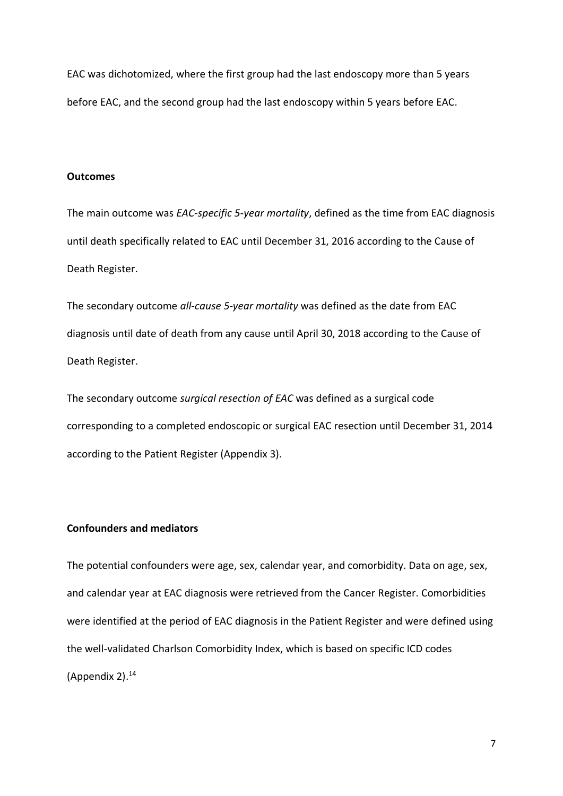EAC was dichotomized, where the first group had the last endoscopy more than 5 years before EAC, and the second group had the last endoscopy within 5 years before EAC.

## **Outcomes**

The main outcome was *EAC-specific 5-year mortality*, defined as the time from EAC diagnosis until death specifically related to EAC until December 31, 2016 according to the Cause of Death Register.

The secondary outcome *all-cause 5-year mortality* was defined as the date from EAC diagnosis until date of death from any cause until April 30, 2018 according to the Cause of Death Register.

The secondary outcome *surgical resection of EAC* was defined as a surgical code corresponding to a completed endoscopic or surgical EAC resection until December 31, 2014 according to the Patient Register (Appendix 3).

## **Confounders and mediators**

The potential confounders were age, sex, calendar year, and comorbidity. Data on age, sex, and calendar year at EAC diagnosis were retrieved from the Cancer Register. Comorbidities were identified at the period of EAC diagnosis in the Patient Register and were defined using the well-validated Charlson Comorbidity Index, which is based on specific ICD codes (Appendix 2). 14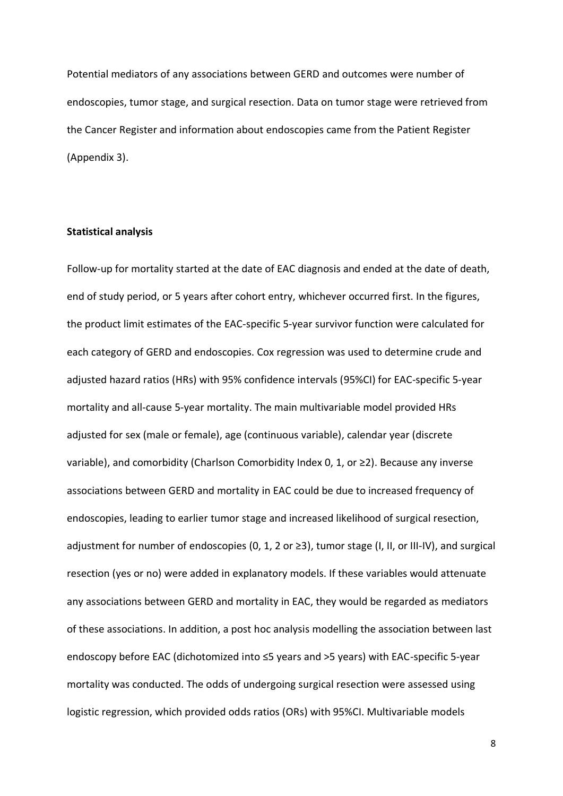Potential mediators of any associations between GERD and outcomes were number of endoscopies, tumor stage, and surgical resection. Data on tumor stage were retrieved from the Cancer Register and information about endoscopies came from the Patient Register (Appendix 3).

## **Statistical analysis**

Follow-up for mortality started at the date of EAC diagnosis and ended at the date of death, end of study period, or 5 years after cohort entry, whichever occurred first. In the figures, the product limit estimates of the EAC-specific 5-year survivor function were calculated for each category of GERD and endoscopies. Cox regression was used to determine crude and adjusted hazard ratios (HRs) with 95% confidence intervals (95%CI) for EAC-specific 5-year mortality and all-cause 5-year mortality. The main multivariable model provided HRs adjusted for sex (male or female), age (continuous variable), calendar year (discrete variable), and comorbidity (Charlson Comorbidity Index 0, 1, or ≥2). Because any inverse associations between GERD and mortality in EAC could be due to increased frequency of endoscopies, leading to earlier tumor stage and increased likelihood of surgical resection, adjustment for number of endoscopies (0, 1, 2 or  $\geq$ 3), tumor stage (I, II, or III-IV), and surgical resection (yes or no) were added in explanatory models. If these variables would attenuate any associations between GERD and mortality in EAC, they would be regarded as mediators of these associations. In addition, a post hoc analysis modelling the association between last endoscopy before EAC (dichotomized into ≤5 years and >5 years) with EAC-specific 5-year mortality was conducted. The odds of undergoing surgical resection were assessed using logistic regression, which provided odds ratios (ORs) with 95%CI. Multivariable models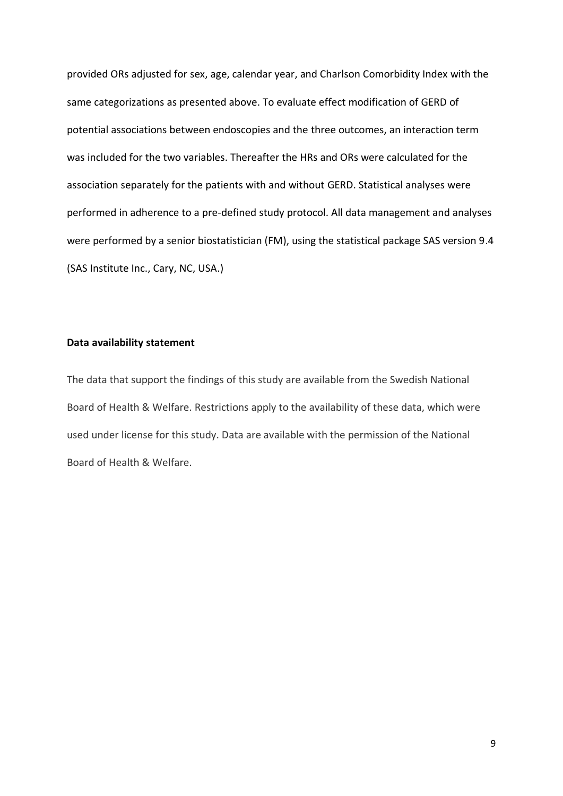provided ORs adjusted for sex, age, calendar year, and Charlson Comorbidity Index with the same categorizations as presented above. To evaluate effect modification of GERD of potential associations between endoscopies and the three outcomes, an interaction term was included for the two variables. Thereafter the HRs and ORs were calculated for the association separately for the patients with and without GERD. Statistical analyses were performed in adherence to a pre-defined study protocol. All data management and analyses were performed by a senior biostatistician (FM), using the statistical package SAS version 9.4 (SAS Institute Inc., Cary, NC, USA.)

## **Data availability statement**

The data that support the findings of this study are available from the Swedish National Board of Health & Welfare. Restrictions apply to the availability of these data, which were used under license for this study. Data are available with the permission of the National Board of Health & Welfare.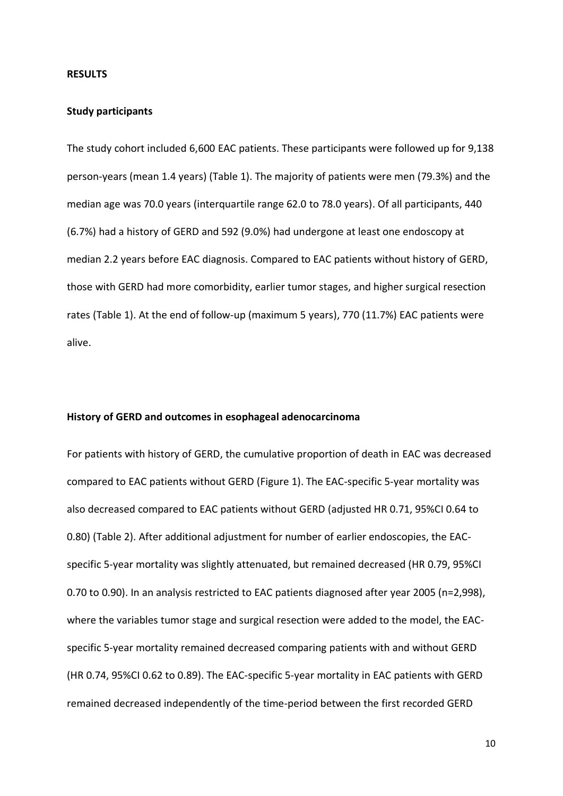#### **RESULTS**

### **Study participants**

The study cohort included 6,600 EAC patients. These participants were followed up for 9,138 person-years (mean 1.4 years) (Table 1). The majority of patients were men (79.3%) and the median age was 70.0 years (interquartile range 62.0 to 78.0 years). Of all participants, 440 (6.7%) had a history of GERD and 592 (9.0%) had undergone at least one endoscopy at median 2.2 years before EAC diagnosis. Compared to EAC patients without history of GERD, those with GERD had more comorbidity, earlier tumor stages, and higher surgical resection rates (Table 1). At the end of follow-up (maximum 5 years), 770 (11.7%) EAC patients were alive.

#### **History of GERD and outcomes in esophageal adenocarcinoma**

For patients with history of GERD, the cumulative proportion of death in EAC was decreased compared to EAC patients without GERD (Figure 1). The EAC-specific 5-year mortality was also decreased compared to EAC patients without GERD (adjusted HR 0.71, 95%CI 0.64 to 0.80) (Table 2). After additional adjustment for number of earlier endoscopies, the EACspecific 5-year mortality was slightly attenuated, but remained decreased (HR 0.79, 95%CI 0.70 to 0.90). In an analysis restricted to EAC patients diagnosed after year 2005 (n=2,998), where the variables tumor stage and surgical resection were added to the model, the EACspecific 5-year mortality remained decreased comparing patients with and without GERD (HR 0.74, 95%CI 0.62 to 0.89). The EAC-specific 5-year mortality in EAC patients with GERD remained decreased independently of the time-period between the first recorded GERD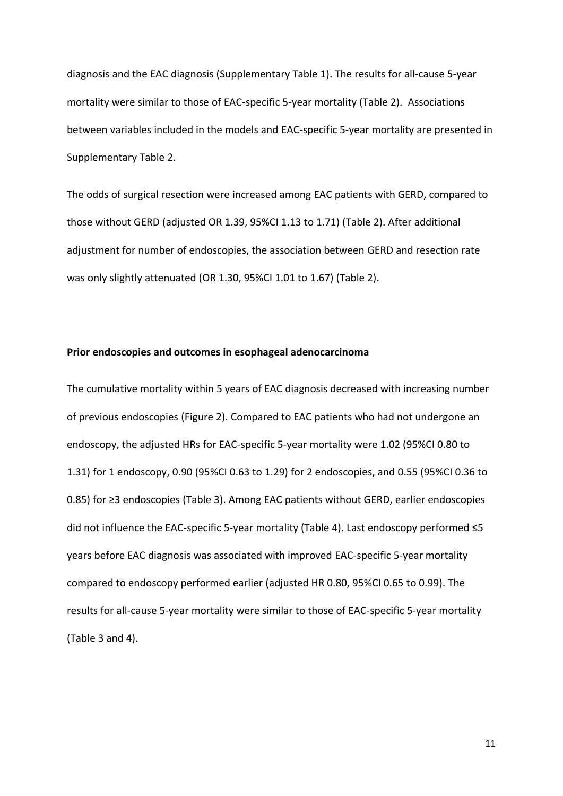diagnosis and the EAC diagnosis (Supplementary Table 1). The results for all-cause 5-year mortality were similar to those of EAC-specific 5-year mortality (Table 2). Associations between variables included in the models and EAC-specific 5-year mortality are presented in Supplementary Table 2.

The odds of surgical resection were increased among EAC patients with GERD, compared to those without GERD (adjusted OR 1.39, 95%CI 1.13 to 1.71) (Table 2). After additional adjustment for number of endoscopies, the association between GERD and resection rate was only slightly attenuated (OR 1.30, 95%CI 1.01 to 1.67) (Table 2).

### **Prior endoscopies and outcomes in esophageal adenocarcinoma**

The cumulative mortality within 5 years of EAC diagnosis decreased with increasing number of previous endoscopies (Figure 2). Compared to EAC patients who had not undergone an endoscopy, the adjusted HRs for EAC-specific 5-year mortality were 1.02 (95%CI 0.80 to 1.31) for 1 endoscopy, 0.90 (95%CI 0.63 to 1.29) for 2 endoscopies, and 0.55 (95%CI 0.36 to 0.85) for ≥3 endoscopies (Table 3). Among EAC patients without GERD, earlier endoscopies did not influence the EAC-specific 5-year mortality (Table 4). Last endoscopy performed ≤5 years before EAC diagnosis was associated with improved EAC-specific 5-year mortality compared to endoscopy performed earlier (adjusted HR 0.80, 95%CI 0.65 to 0.99). The results for all-cause 5-year mortality were similar to those of EAC-specific 5-year mortality (Table 3 and 4).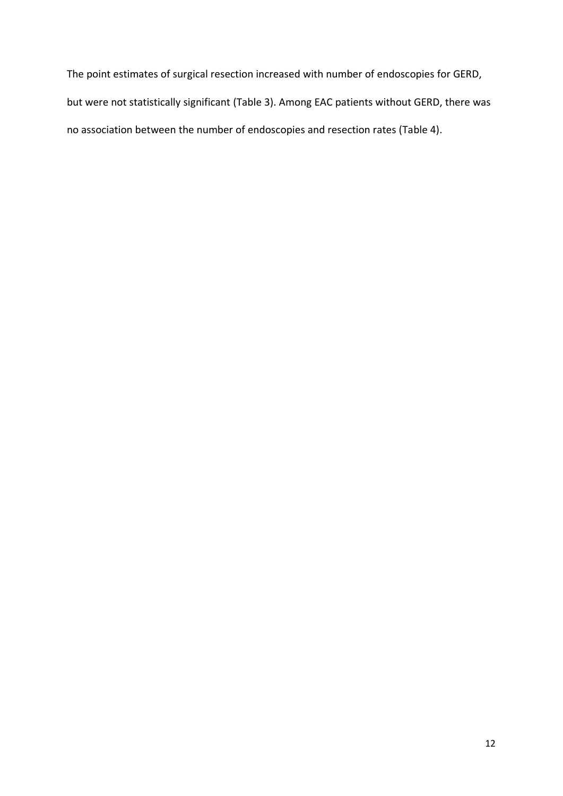The point estimates of surgical resection increased with number of endoscopies for GERD, but were not statistically significant (Table 3). Among EAC patients without GERD, there was no association between the number of endoscopies and resection rates (Table 4).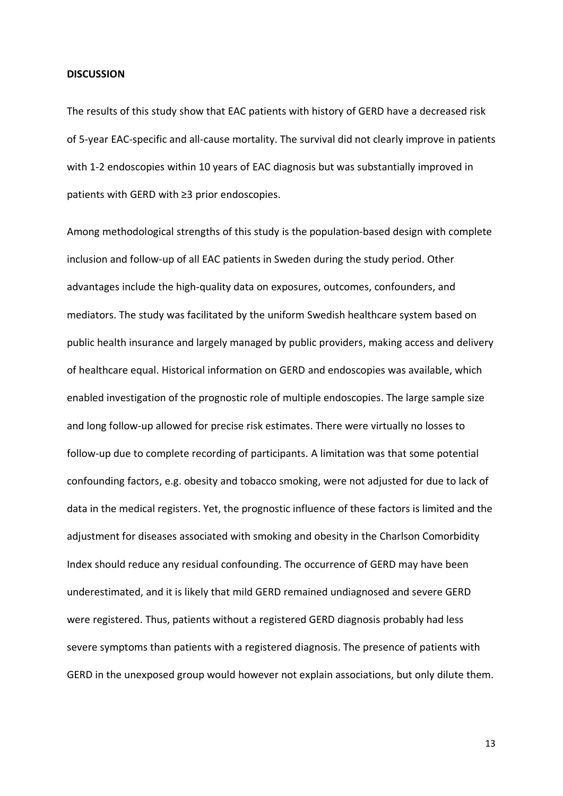#### **DISCUSSION**

The results of this study show that EAC patients with history of GERD have a decreased risk of 5-year EAC-specific and all-cause mortality. The survival did not clearly improve in patients with 1-2 endoscopies within 10 years of EAC diagnosis but was substantially improved in patients with GERD with ≥3 prior endoscopies.

Among methodological strengths of this study is the population-based design with complete inclusion and follow-up of all EAC patients in Sweden during the study period. Other advantages include the high-quality data on exposures, outcomes, confounders, and mediators. The study was facilitated by the uniform Swedish healthcare system based on public health insurance and largely managed by public providers, making access and delivery of healthcare equal. Historical information on GERD and endoscopies was available, which enabled investigation of the prognostic role of multiple endoscopies. The large sample size and long follow-up allowed for precise risk estimates. There were virtually no losses to follow-up due to complete recording of participants. A limitation was that some potential confounding factors, e.g. obesity and tobacco smoking, were not adjusted for due to lack of data in the medical registers. Yet, the prognostic influence of these factors is limited and the adjustment for diseases associated with smoking and obesity in the Charlson Comorbidity Index should reduce any residual confounding. The occurrence of GERD may have been underestimated, and it is likely that mild GERD remained undiagnosed and severe GERD were registered. Thus, patients without a registered GERD diagnosis probably had less severe symptoms than patients with a registered diagnosis. The presence of patients with GERD in the unexposed group would however not explain associations, but only dilute them.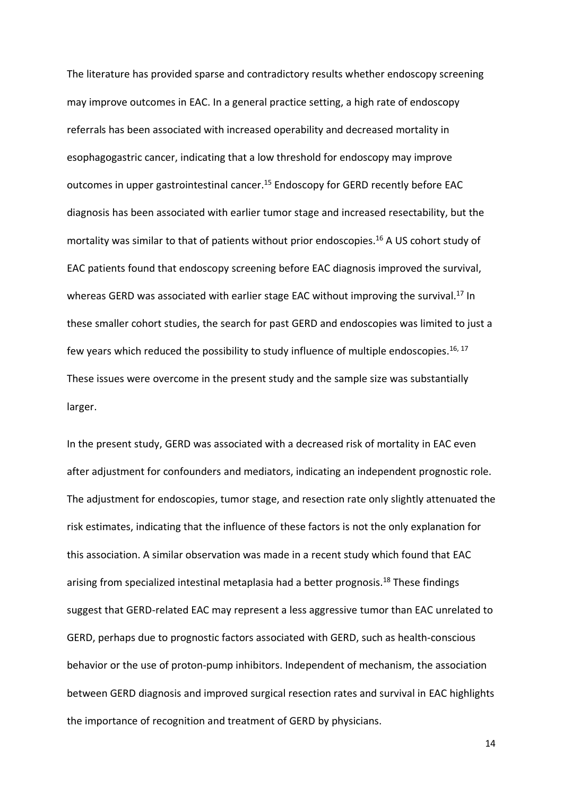The literature has provided sparse and contradictory results whether endoscopy screening may improve outcomes in EAC. In a general practice setting, a high rate of endoscopy referrals has been associated with increased operability and decreased mortality in esophagogastric cancer, indicating that a low threshold for endoscopy may improve outcomes in upper gastrointestinal cancer.<sup>15</sup> Endoscopy for GERD recently before EAC diagnosis has been associated with earlier tumor stage and increased resectability, but the mortality was similar to that of patients without prior endoscopies. <sup>16</sup> A US cohort study of EAC patients found that endoscopy screening before EAC diagnosis improved the survival, whereas GERD was associated with earlier stage EAC without improving the survival.<sup>17</sup> In these smaller cohort studies, the search for past GERD and endoscopies was limited to just a few years which reduced the possibility to study influence of multiple endoscopies.<sup>16, 17</sup> These issues were overcome in the present study and the sample size was substantially larger.

In the present study, GERD was associated with a decreased risk of mortality in EAC even after adjustment for confounders and mediators, indicating an independent prognostic role. The adjustment for endoscopies, tumor stage, and resection rate only slightly attenuated the risk estimates, indicating that the influence of these factors is not the only explanation for this association. A similar observation was made in a recent study which found that EAC arising from specialized intestinal metaplasia had a better prognosis.<sup>18</sup> These findings suggest that GERD-related EAC may represent a less aggressive tumor than EAC unrelated to GERD, perhaps due to prognostic factors associated with GERD, such as health-conscious behavior or the use of proton-pump inhibitors. Independent of mechanism, the association between GERD diagnosis and improved surgical resection rates and survival in EAC highlights the importance of recognition and treatment of GERD by physicians.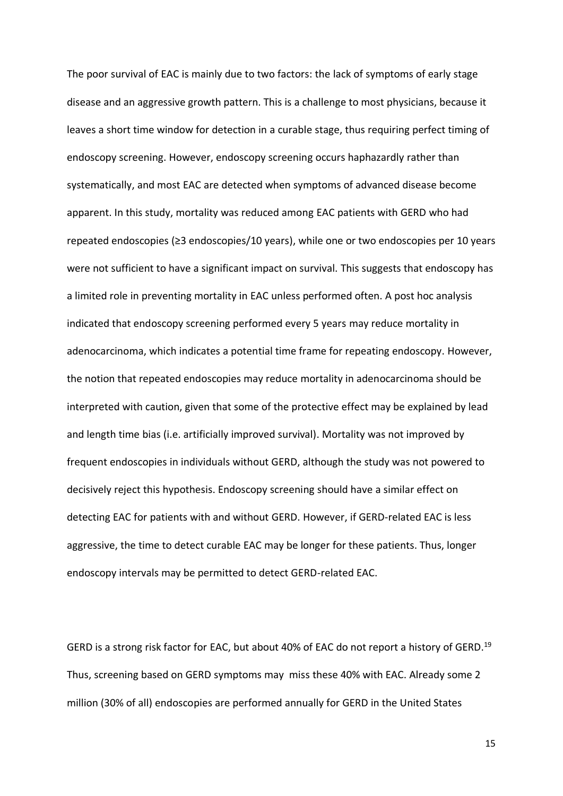The poor survival of EAC is mainly due to two factors: the lack of symptoms of early stage disease and an aggressive growth pattern. This is a challenge to most physicians, because it leaves a short time window for detection in a curable stage, thus requiring perfect timing of endoscopy screening. However, endoscopy screening occurs haphazardly rather than systematically, and most EAC are detected when symptoms of advanced disease become apparent. In this study, mortality was reduced among EAC patients with GERD who had repeated endoscopies (≥3 endoscopies/10 years), while one or two endoscopies per 10 years were not sufficient to have a significant impact on survival. This suggests that endoscopy has a limited role in preventing mortality in EAC unless performed often. A post hoc analysis indicated that endoscopy screening performed every 5 years may reduce mortality in adenocarcinoma, which indicates a potential time frame for repeating endoscopy. However, the notion that repeated endoscopies may reduce mortality in adenocarcinoma should be interpreted with caution, given that some of the protective effect may be explained by lead and length time bias (i.e. artificially improved survival). Mortality was not improved by frequent endoscopies in individuals without GERD, although the study was not powered to decisively reject this hypothesis. Endoscopy screening should have a similar effect on detecting EAC for patients with and without GERD. However, if GERD-related EAC is less aggressive, the time to detect curable EAC may be longer for these patients. Thus, longer endoscopy intervals may be permitted to detect GERD-related EAC.

GERD is a strong risk factor for EAC, but about 40% of EAC do not report a history of GERD.<sup>19</sup> Thus, screening based on GERD symptoms may miss these 40% with EAC. Already some 2 million (30% of all) endoscopies are performed annually for GERD in the United States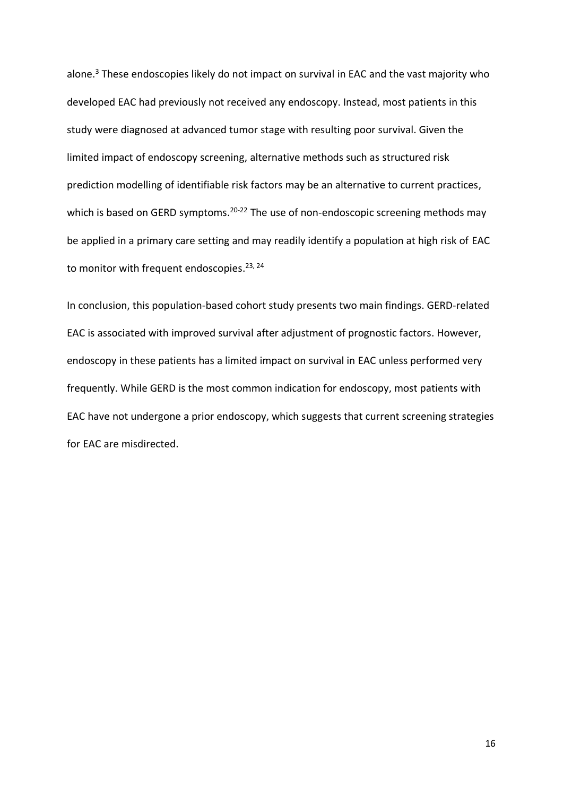alone.<sup>3</sup> These endoscopies likely do not impact on survival in EAC and the vast majority who developed EAC had previously not received any endoscopy. Instead, most patients in this study were diagnosed at advanced tumor stage with resulting poor survival. Given the limited impact of endoscopy screening, alternative methods such as structured risk prediction modelling of identifiable risk factors may be an alternative to current practices, which is based on GERD symptoms.<sup>20-22</sup> The use of non-endoscopic screening methods may be applied in a primary care setting and may readily identify a population at high risk of EAC to monitor with frequent endoscopies.<sup>23, 24</sup>

In conclusion, this population-based cohort study presents two main findings. GERD-related EAC is associated with improved survival after adjustment of prognostic factors. However, endoscopy in these patients has a limited impact on survival in EAC unless performed very frequently. While GERD is the most common indication for endoscopy, most patients with EAC have not undergone a prior endoscopy, which suggests that current screening strategies for EAC are misdirected.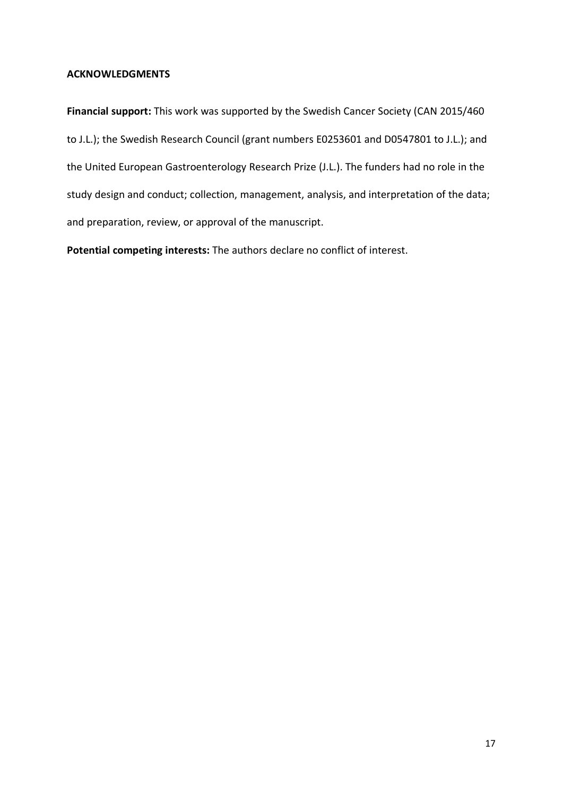## **ACKNOWLEDGMENTS**

**Financial support:** This work was supported by the Swedish Cancer Society (CAN 2015/460 to J.L.); the Swedish Research Council (grant numbers E0253601 and D0547801 to J.L.); and the United European Gastroenterology Research Prize (J.L.). The funders had no role in the study design and conduct; collection, management, analysis, and interpretation of the data; and preparation, review, or approval of the manuscript.

**Potential competing interests:** The authors declare no conflict of interest.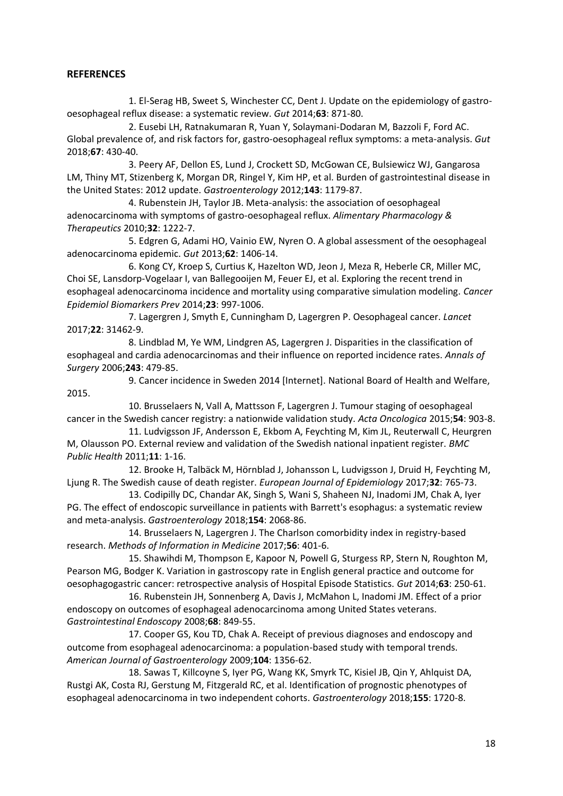## **REFERENCES**

1. El-Serag HB, Sweet S, Winchester CC, Dent J. Update on the epidemiology of gastrooesophageal reflux disease: a systematic review. *Gut* 2014;**63**: 871-80.

2. Eusebi LH, Ratnakumaran R, Yuan Y, Solaymani-Dodaran M, Bazzoli F, Ford AC. Global prevalence of, and risk factors for, gastro-oesophageal reflux symptoms: a meta-analysis. *Gut* 2018;**67**: 430-40.

3. Peery AF, Dellon ES, Lund J, Crockett SD, McGowan CE, Bulsiewicz WJ, Gangarosa LM, Thiny MT, Stizenberg K, Morgan DR, Ringel Y, Kim HP, et al. Burden of gastrointestinal disease in the United States: 2012 update. *Gastroenterology* 2012;**143**: 1179-87.

4. Rubenstein JH, Taylor JB. Meta-analysis: the association of oesophageal adenocarcinoma with symptoms of gastro-oesophageal reflux. *Alimentary Pharmacology & Therapeutics* 2010;**32**: 1222-7.

5. Edgren G, Adami HO, Vainio EW, Nyren O. A global assessment of the oesophageal adenocarcinoma epidemic. *Gut* 2013;**62**: 1406-14.

6. Kong CY, Kroep S, Curtius K, Hazelton WD, Jeon J, Meza R, Heberle CR, Miller MC, Choi SE, Lansdorp-Vogelaar I, van Ballegooijen M, Feuer EJ, et al. Exploring the recent trend in esophageal adenocarcinoma incidence and mortality using comparative simulation modeling. *Cancer Epidemiol Biomarkers Prev* 2014;**23**: 997-1006.

7. Lagergren J, Smyth E, Cunningham D, Lagergren P. Oesophageal cancer. *Lancet* 2017;**22**: 31462-9.

8. Lindblad M, Ye WM, Lindgren AS, Lagergren J. Disparities in the classification of esophageal and cardia adenocarcinomas and their influence on reported incidence rates. *Annals of Surgery* 2006;**243**: 479-85.

9. Cancer incidence in Sweden 2014 [Internet]. National Board of Health and Welfare, 2015.

10. Brusselaers N, Vall A, Mattsson F, Lagergren J. Tumour staging of oesophageal cancer in the Swedish cancer registry: a nationwide validation study. *Acta Oncologica* 2015;**54**: 903-8.

11. Ludvigsson JF, Andersson E, Ekbom A, Feychting M, Kim JL, Reuterwall C, Heurgren M, Olausson PO. External review and validation of the Swedish national inpatient register. *BMC Public Health* 2011;**11**: 1-16.

12. Brooke H, Talbäck M, Hörnblad J, Johansson L, Ludvigsson J, Druid H, Feychting M, Ljung R. The Swedish cause of death register. *European Journal of Epidemiology* 2017;**32**: 765-73.

13. Codipilly DC, Chandar AK, Singh S, Wani S, Shaheen NJ, Inadomi JM, Chak A, Iyer PG. The effect of endoscopic surveillance in patients with Barrett's esophagus: a systematic review and meta-analysis. *Gastroenterology* 2018;**154**: 2068-86.

14. Brusselaers N, Lagergren J. The Charlson comorbidity index in registry-based research. *Methods of Information in Medicine* 2017;**56**: 401-6.

15. Shawihdi M, Thompson E, Kapoor N, Powell G, Sturgess RP, Stern N, Roughton M, Pearson MG, Bodger K. Variation in gastroscopy rate in English general practice and outcome for oesophagogastric cancer: retrospective analysis of Hospital Episode Statistics. *Gut* 2014;**63**: 250-61.

16. Rubenstein JH, Sonnenberg A, Davis J, McMahon L, Inadomi JM. Effect of a prior endoscopy on outcomes of esophageal adenocarcinoma among United States veterans. *Gastrointestinal Endoscopy* 2008;**68**: 849-55.

17. Cooper GS, Kou TD, Chak A. Receipt of previous diagnoses and endoscopy and outcome from esophageal adenocarcinoma: a population-based study with temporal trends. *American Journal of Gastroenterology* 2009;**104**: 1356-62.

18. Sawas T, Killcoyne S, Iyer PG, Wang KK, Smyrk TC, Kisiel JB, Qin Y, Ahlquist DA, Rustgi AK, Costa RJ, Gerstung M, Fitzgerald RC, et al. Identification of prognostic phenotypes of esophageal adenocarcinoma in two independent cohorts. *Gastroenterology* 2018;**155**: 1720-8.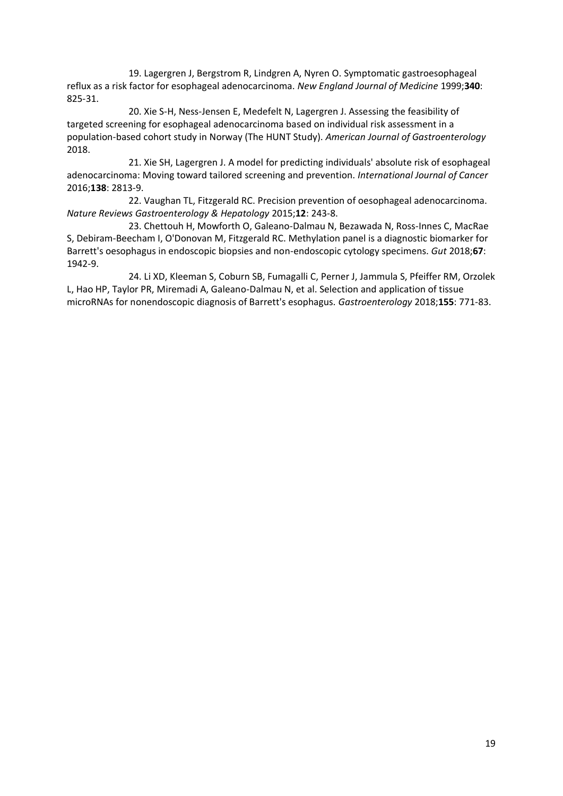19. Lagergren J, Bergstrom R, Lindgren A, Nyren O. Symptomatic gastroesophageal reflux as a risk factor for esophageal adenocarcinoma. *New England Journal of Medicine* 1999;**340**: 825-31.

20. Xie S-H, Ness-Jensen E, Medefelt N, Lagergren J. Assessing the feasibility of targeted screening for esophageal adenocarcinoma based on individual risk assessment in a population-based cohort study in Norway (The HUNT Study). *American Journal of Gastroenterology* 2018.

21. Xie SH, Lagergren J. A model for predicting individuals' absolute risk of esophageal adenocarcinoma: Moving toward tailored screening and prevention. *International Journal of Cancer* 2016;**138**: 2813-9.

22. Vaughan TL, Fitzgerald RC. Precision prevention of oesophageal adenocarcinoma. *Nature Reviews Gastroenterology & Hepatology* 2015;**12**: 243-8.

23. Chettouh H, Mowforth O, Galeano-Dalmau N, Bezawada N, Ross-Innes C, MacRae S, Debiram-Beecham I, O'Donovan M, Fitzgerald RC. Methylation panel is a diagnostic biomarker for Barrett's oesophagus in endoscopic biopsies and non-endoscopic cytology specimens. *Gut* 2018;**67**: 1942-9.

24. Li XD, Kleeman S, Coburn SB, Fumagalli C, Perner J, Jammula S, Pfeiffer RM, Orzolek L, Hao HP, Taylor PR, Miremadi A, Galeano-Dalmau N, et al. Selection and application of tissue microRNAs for nonendoscopic diagnosis of Barrett's esophagus. *Gastroenterology* 2018;**155**: 771-83.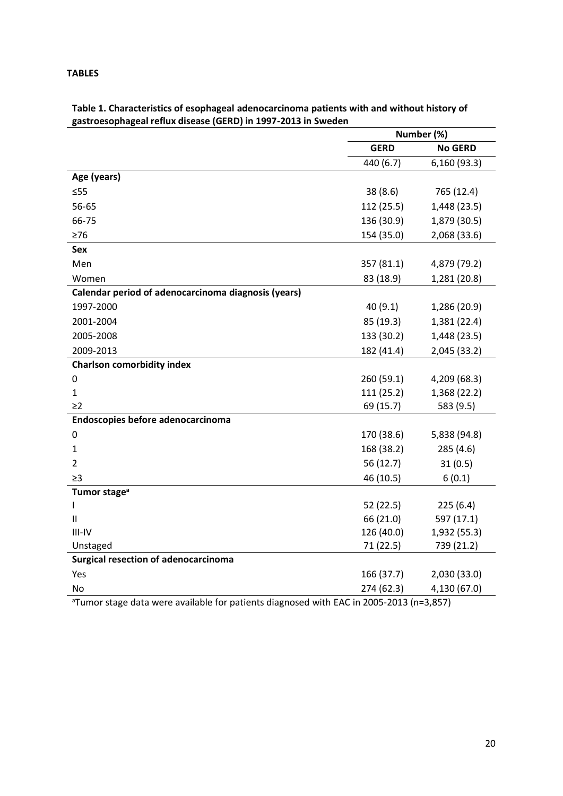## **TABLES**

|                                                     | Number (%)  |                |  |
|-----------------------------------------------------|-------------|----------------|--|
|                                                     | <b>GERD</b> | <b>No GERD</b> |  |
|                                                     | 440 (6.7)   | 6,160 (93.3)   |  |
| Age (years)                                         |             |                |  |
| $\leq 55$                                           | 38(8.6)     | 765 (12.4)     |  |
| 56-65                                               | 112 (25.5)  | 1,448 (23.5)   |  |
| 66-75                                               | 136 (30.9)  | 1,879 (30.5)   |  |
| $\geq 76$                                           | 154 (35.0)  | 2,068 (33.6)   |  |
| Sex                                                 |             |                |  |
| Men                                                 | 357 (81.1)  | 4,879 (79.2)   |  |
| Women                                               | 83 (18.9)   | 1,281 (20.8)   |  |
| Calendar period of adenocarcinoma diagnosis (years) |             |                |  |
| 1997-2000                                           | 40(9.1)     | 1,286 (20.9)   |  |
| 2001-2004                                           | 85 (19.3)   | 1,381 (22.4)   |  |
| 2005-2008                                           | 133 (30.2)  | 1,448 (23.5)   |  |
| 2009-2013                                           | 182 (41.4)  | 2,045 (33.2)   |  |
| <b>Charlson comorbidity index</b>                   |             |                |  |
| 0                                                   | 260 (59.1)  | 4,209 (68.3)   |  |
| $\mathbf{1}$                                        | 111 (25.2)  | 1,368 (22.2)   |  |
| $\geq$ 2                                            | 69 (15.7)   | 583 (9.5)      |  |
| Endoscopies before adenocarcinoma                   |             |                |  |
| 0                                                   | 170 (38.6)  | 5,838 (94.8)   |  |
| $\mathbf{1}$                                        | 168 (38.2)  | 285 (4.6)      |  |
| $\overline{2}$                                      | 56 (12.7)   | 31(0.5)        |  |
| $\geq$ 3                                            | 46 (10.5)   | 6(0.1)         |  |
| Tumor stage <sup>a</sup>                            |             |                |  |
| $\mathbf{I}$                                        | 52(22.5)    | 225(6.4)       |  |
| $\mathbf{H}$                                        | 66 (21.0)   | 597 (17.1)     |  |
| $III-IV$                                            | 126 (40.0)  | 1,932 (55.3)   |  |
| Unstaged                                            | 71 (22.5)   | 739 (21.2)     |  |
| Surgical resection of adenocarcinoma                |             |                |  |
| Yes                                                 | 166 (37.7)  | 2,030 (33.0)   |  |
| <b>No</b>                                           | 274 (62.3)  | 4,130 (67.0)   |  |

## **Table 1. Characteristics of esophageal adenocarcinoma patients with and without history of gastroesophageal reflux disease (GERD) in 1997-2013 in Sweden**

<sup>a</sup>Tumor stage data were available for patients diagnosed with EAC in 2005-2013 (n=3,857)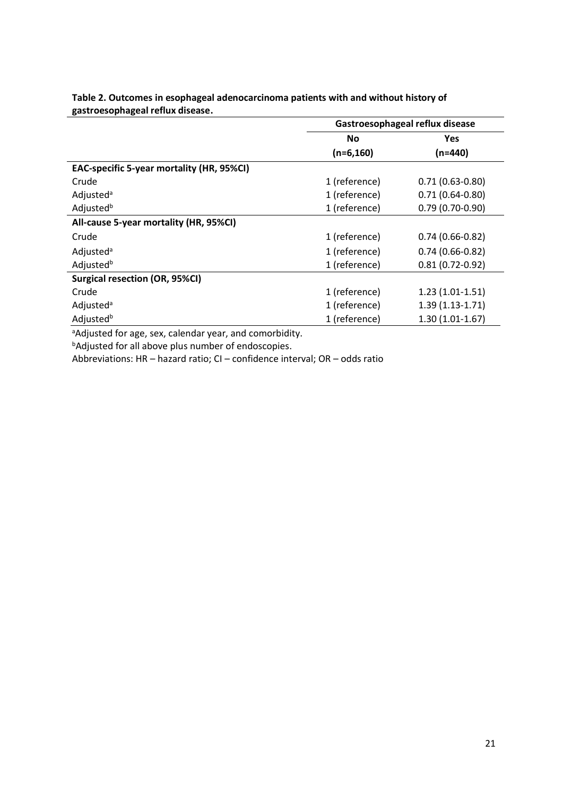|                                           | Gastroesophageal reflux disease |                     |  |
|-------------------------------------------|---------------------------------|---------------------|--|
|                                           | <b>No</b>                       | Yes                 |  |
|                                           | $(n=6, 160)$                    | $(n=440)$           |  |
| EAC-specific 5-year mortality (HR, 95%CI) |                                 |                     |  |
| Crude                                     | 1 (reference)                   | $0.71(0.63 - 0.80)$ |  |
| Adjusted <sup>a</sup>                     | 1 (reference)                   | $0.71(0.64 - 0.80)$ |  |
| Adjusted <sup>b</sup>                     | 1 (reference)                   | $0.79(0.70-0.90)$   |  |
| All-cause 5-year mortality (HR, 95%CI)    |                                 |                     |  |
| Crude                                     | 1 (reference)                   | $0.74(0.66-0.82)$   |  |
| Adjusted <sup>a</sup>                     | 1 (reference)                   | $0.74(0.66-0.82)$   |  |
| Adjusted <sup>b</sup>                     | 1 (reference)                   | $0.81(0.72-0.92)$   |  |
| <b>Surgical resection (OR, 95%CI)</b>     |                                 |                     |  |
| Crude                                     | 1 (reference)                   | $1.23(1.01-1.51)$   |  |
| Adjusted <sup>a</sup>                     | 1 (reference)                   | $1.39(1.13-1.71)$   |  |
| Adjusted <sup>b</sup>                     | 1 (reference)                   | $1.30(1.01-1.67)$   |  |

**Table 2. Outcomes in esophageal adenocarcinoma patients with and without history of gastroesophageal reflux disease.**

<sup>a</sup>Adjusted for age, sex, calendar year, and comorbidity.

**bAdjusted for all above plus number of endoscopies.** 

Abbreviations: HR – hazard ratio; CI – confidence interval; OR – odds ratio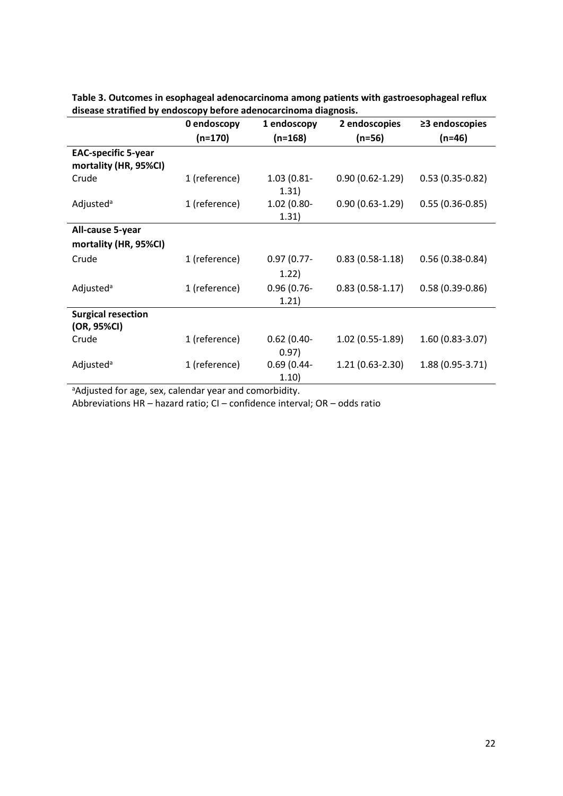|                                                     | 0 endoscopy   | 1 endoscopy            | 2 endoscopies       | $\geq$ 3 endoscopies |
|-----------------------------------------------------|---------------|------------------------|---------------------|----------------------|
|                                                     | $(n=170)$     | $(n=168)$              | $(n=56)$            | $(n=46)$             |
| <b>EAC-specific 5-year</b><br>mortality (HR, 95%CI) |               |                        |                     |                      |
| Crude                                               | 1 (reference) | $1.03(0.81 -$<br>1.31) | $0.90(0.62 - 1.29)$ | $0.53(0.35-0.82)$    |
| Adjusted <sup>a</sup>                               | 1 (reference) | 1.02 (0.80-<br>1.31)   | $0.90(0.63-1.29)$   | $0.55(0.36-0.85)$    |
| All-cause 5-year                                    |               |                        |                     |                      |
| mortality (HR, 95%CI)                               |               |                        |                     |                      |
| Crude                                               | 1 (reference) | $0.97(0.77 -$          | $0.83(0.58-1.18)$   | $0.56(0.38-0.84)$    |
|                                                     |               | 1.22)                  |                     |                      |
| Adjusted <sup>a</sup>                               | 1 (reference) | $0.96(0.76 -$<br>1.21) | $0.83(0.58-1.17)$   | $0.58(0.39 - 0.86)$  |
| <b>Surgical resection</b>                           |               |                        |                     |                      |
| (OR, 95%CI)                                         |               |                        |                     |                      |
| Crude                                               | 1 (reference) | $0.62(0.40-$<br>0.97)  | $1.02(0.55-1.89)$   | 1.60 (0.83-3.07)     |
| Adjusted <sup>a</sup>                               | 1 (reference) | $0.69(0.44 -$<br>1.10) | $1.21(0.63-2.30)$   | 1.88 (0.95-3.71)     |

**Table 3. Outcomes in esophageal adenocarcinoma among patients with gastroesophageal reflux disease stratified by endoscopy before adenocarcinoma diagnosis.**

aAdjusted for age, sex, calendar year and comorbidity.

Abbreviations HR – hazard ratio; CI – confidence interval; OR – odds ratio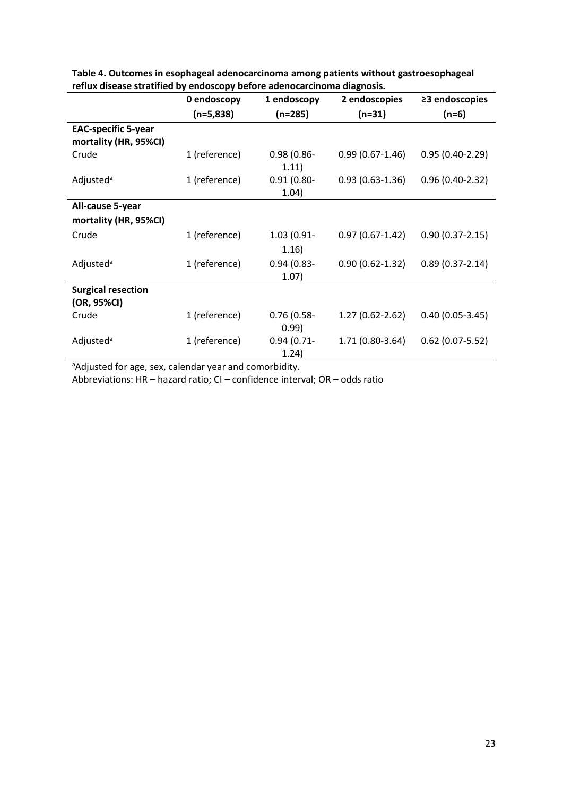|                            | 0 endoscopy   | 1 endoscopy   | 2 endoscopies       | $\geq$ 3 endoscopies |
|----------------------------|---------------|---------------|---------------------|----------------------|
|                            | $(n=5,838)$   | $(n=285)$     | $(n=31)$            | $(n=6)$              |
| <b>EAC-specific 5-year</b> |               |               |                     |                      |
| mortality (HR, 95%CI)      |               |               |                     |                      |
| Crude                      | 1 (reference) | $0.98(0.86 -$ | $0.99(0.67 - 1.46)$ | $0.95(0.40-2.29)$    |
|                            |               | 1.11)         |                     |                      |
| Adjusted <sup>a</sup>      | 1 (reference) | $0.91(0.80 -$ | $0.93(0.63-1.36)$   | $0.96(0.40-2.32)$    |
|                            |               | 1.04)         |                     |                      |
| All-cause 5-year           |               |               |                     |                      |
| mortality (HR, 95%CI)      |               |               |                     |                      |
| Crude                      | 1 (reference) | 1.03 (0.91-   | $0.97(0.67 - 1.42)$ | $0.90(0.37 - 2.15)$  |
|                            |               | 1.16)         |                     |                      |
| Adjusted <sup>a</sup>      | 1 (reference) | $0.94(0.83 -$ | $0.90(0.62 - 1.32)$ | $0.89(0.37 - 2.14)$  |
|                            |               | 1.07)         |                     |                      |
| <b>Surgical resection</b>  |               |               |                     |                      |
| (OR, 95%CI)                |               |               |                     |                      |
| Crude                      | 1 (reference) | $0.76(0.58 -$ | 1.27 (0.62-2.62)    | $0.40(0.05-3.45)$    |
|                            |               | 0.99)         |                     |                      |
| Adjusted <sup>a</sup>      | 1 (reference) | $0.94(0.71 -$ | 1.71 (0.80-3.64)    | $0.62$ (0.07-5.52)   |
|                            |               | 1.24)         |                     |                      |

**Table 4. Outcomes in esophageal adenocarcinoma among patients without gastroesophageal reflux disease stratified by endoscopy before adenocarcinoma diagnosis.**

aAdjusted for age, sex, calendar year and comorbidity.

Abbreviations: HR – hazard ratio; CI – confidence interval; OR – odds ratio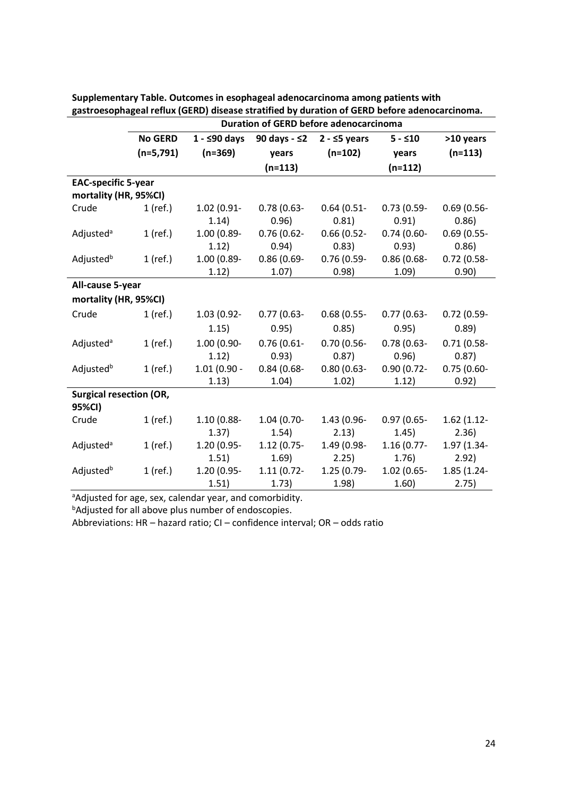|                                |                | Duration of GERD before adenocarcinoma |               |               |               |               |  |
|--------------------------------|----------------|----------------------------------------|---------------|---------------|---------------|---------------|--|
|                                | <b>No GERD</b> | $1 - $90$ days                         | 90 days - ≤2  | $2 - 5$ years | $5 - 10$      | >10 years     |  |
|                                | $(n=5,791)$    | $(n=369)$                              | years         | $(n=102)$     | years         | $(n=113)$     |  |
|                                |                | $(n=113)$                              |               | $(n=112)$     |               |               |  |
| <b>EAC-specific 5-year</b>     |                |                                        |               |               |               |               |  |
| mortality (HR, 95%CI)          |                |                                        |               |               |               |               |  |
| Crude                          | $1$ (ref.)     | 1.02 (0.91-                            | $0.78(0.63 -$ | $0.64(0.51 -$ | $0.73(0.59 -$ | $0.69(0.56 -$ |  |
|                                |                | 1.14)                                  | 0.96)         | 0.81)         | 0.91)         | 0.86)         |  |
| Adjusted <sup>a</sup>          | $1$ (ref.)     | 1.00 (0.89-                            | $0.76(0.62 -$ | $0.66(0.52 -$ | $0.74(0.60 -$ | $0.69(0.55 -$ |  |
|                                |                | 1.12)                                  | 0.94)         | 0.83)         | 0.93)         | 0.86)         |  |
| Adjusted <sup>b</sup>          | $1$ (ref.)     | 1.00 (0.89-                            | $0.86(0.69 -$ | $0.76(0.59 -$ | $0.86(0.68 -$ | $0.72$ (0.58- |  |
|                                |                | 1.12)                                  | 1.07)         | 0.98)         | 1.09)         | 0.90)         |  |
| All-cause 5-year               |                |                                        |               |               |               |               |  |
| mortality (HR, 95%CI)          |                |                                        |               |               |               |               |  |
| Crude                          | $1$ (ref.)     | 1.03 (0.92-                            | $0.77(0.63 -$ | 0.68(0.55)    | $0.77(0.63 -$ | $0.72(0.59-$  |  |
|                                |                | 1.15)                                  | 0.95)         | 0.85)         | 0.95)         | 0.89)         |  |
| Adjusted <sup>a</sup>          | $1$ (ref.)     | 1.00 (0.90-                            | $0.76(0.61 -$ | $0.70(0.56 -$ | $0.78(0.63 -$ | $0.71(0.58 -$ |  |
|                                |                | 1.12)                                  | 0.93)         | 0.87)         | 0.96)         | 0.87)         |  |
| Adjusted <sup>b</sup>          | $1$ (ref.)     | $1.01(0.90 -$                          | $0.84(0.68 -$ | $0.80(0.63 -$ | $0.90(0.72 -$ | $0.75(0.60 -$ |  |
|                                |                | 1.13)                                  | 1.04)         | 1.02)         | 1.12)         | 0.92)         |  |
| <b>Surgical resection (OR,</b> |                |                                        |               |               |               |               |  |
| 95%CI)                         |                |                                        |               |               |               |               |  |
| Crude                          | $1$ (ref.)     | 1.10 (0.88-                            | $1.04(0.70-$  | 1.43 (0.96-   | $0.97(0.65 -$ | $1.62(1.12 -$ |  |
|                                |                | 1.37)                                  | 1.54)         | 2.13)         | 1.45)         | 2.36)         |  |
| Adjusted <sup>a</sup>          | $1$ (ref.)     | 1.20 (0.95-                            | $1.12(0.75 -$ | 1.49 (0.98-   | $1.16(0.77 -$ | 1.97 (1.34-   |  |
|                                |                | 1.51)                                  | 1.69)         | 2.25)         | 1.76)         | 2.92)         |  |
| Adjusted <sup>b</sup>          | $1$ (ref.)     | 1.20 (0.95-                            | $1.11(0.72 -$ | 1.25 (0.79-   | $1.02(0.65 -$ | 1.85 (1.24-   |  |
|                                |                | 1.51)                                  | 1.73)         | 1.98)         | 1.60)         | 2.75)         |  |

**Supplementary Table. Outcomes in esophageal adenocarcinoma among patients with gastroesophageal reflux (GERD) disease stratified by duration of GERD before adenocarcinoma.**

aAdjusted for age, sex, calendar year, and comorbidity.

**bAdjusted for all above plus number of endoscopies.** 

Abbreviations: HR – hazard ratio; CI – confidence interval; OR – odds ratio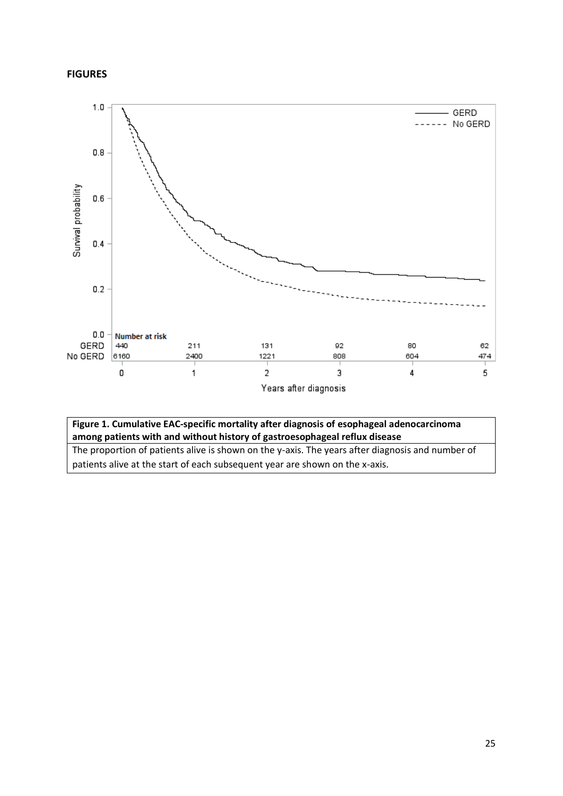### **FIGURES**



## **Figure 1. Cumulative EAC-specific mortality after diagnosis of esophageal adenocarcinoma among patients with and without history of gastroesophageal reflux disease**

The proportion of patients alive is shown on the y-axis. The years after diagnosis and number of patients alive at the start of each subsequent year are shown on the x-axis.